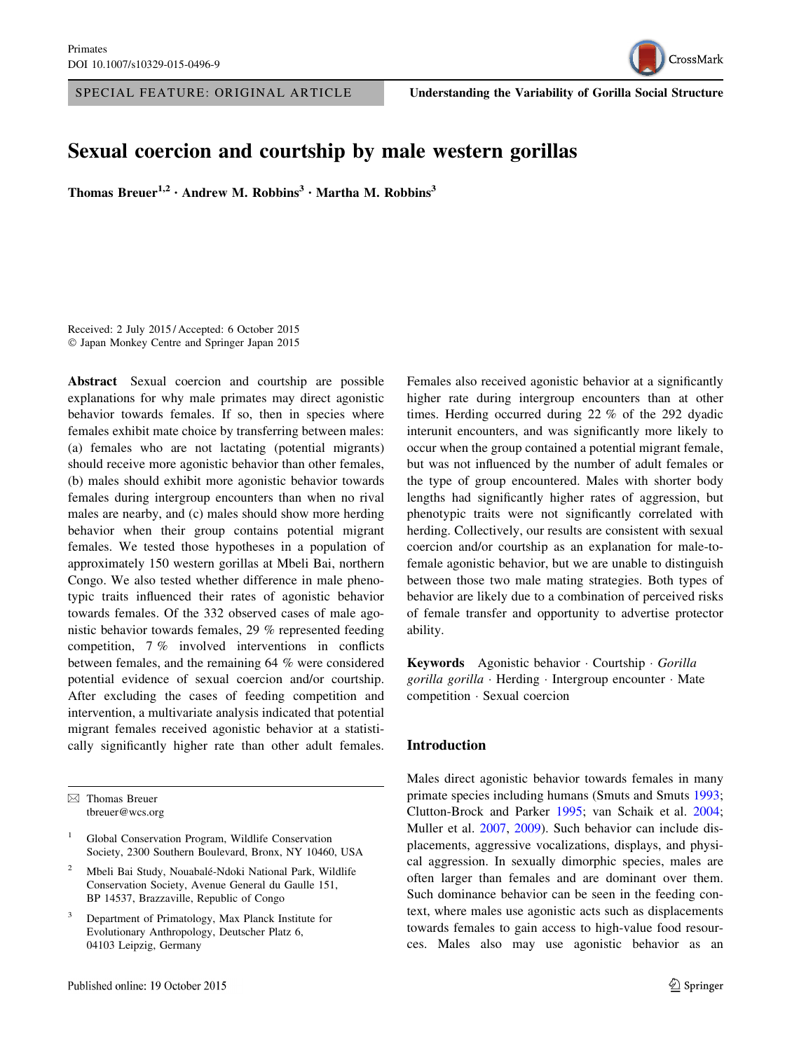

SPECIAL FEATURE: ORIGINAL ARTICLE Understanding the Variability of Gorilla Social Structure

# Sexual coercion and courtship by male western gorillas

Thomas Breuer<sup>1,2</sup> · Andrew M. Robbins<sup>3</sup> · Martha M. Robbins<sup>3</sup>

Received: 2 July 2015 / Accepted: 6 October 2015 - Japan Monkey Centre and Springer Japan 2015

Abstract Sexual coercion and courtship are possible explanations for why male primates may direct agonistic behavior towards females. If so, then in species where females exhibit mate choice by transferring between males: (a) females who are not lactating (potential migrants) should receive more agonistic behavior than other females, (b) males should exhibit more agonistic behavior towards females during intergroup encounters than when no rival males are nearby, and (c) males should show more herding behavior when their group contains potential migrant females. We tested those hypotheses in a population of approximately 150 western gorillas at Mbeli Bai, northern Congo. We also tested whether difference in male phenotypic traits influenced their rates of agonistic behavior towards females. Of the 332 observed cases of male agonistic behavior towards females, 29 % represented feeding competition, 7 % involved interventions in conflicts between females, and the remaining 64 % were considered potential evidence of sexual coercion and/or courtship. After excluding the cases of feeding competition and intervention, a multivariate analysis indicated that potential migrant females received agonistic behavior at a statistically significantly higher rate than other adult females.

 $\boxtimes$  Thomas Breuer tbreuer@wcs.org

- <sup>1</sup> Global Conservation Program, Wildlife Conservation Society, 2300 Southern Boulevard, Bronx, NY 10460, USA
- Mbeli Bai Study, Nouabalé-Ndoki National Park, Wildlife Conservation Society, Avenue General du Gaulle 151, BP 14537, Brazzaville, Republic of Congo
- <sup>3</sup> Department of Primatology, Max Planck Institute for Evolutionary Anthropology, Deutscher Platz 6, 04103 Leipzig, Germany

Females also received agonistic behavior at a significantly higher rate during intergroup encounters than at other times. Herding occurred during 22 % of the 292 dyadic interunit encounters, and was significantly more likely to occur when the group contained a potential migrant female, but was not influenced by the number of adult females or the type of group encountered. Males with shorter body lengths had significantly higher rates of aggression, but phenotypic traits were not significantly correlated with herding. Collectively, our results are consistent with sexual coercion and/or courtship as an explanation for male-tofemale agonistic behavior, but we are unable to distinguish between those two male mating strategies. Both types of behavior are likely due to a combination of perceived risks of female transfer and opportunity to advertise protector ability.

Keywords Agonistic behavior Courtship Gorilla gorilla gorilla · Herding · Intergroup encounter · Mate competition - Sexual coercion

#### Introduction

Males direct agonistic behavior towards females in many primate species including humans (Smuts and Smuts [1993](#page-9-0); Clutton-Brock and Parker [1995](#page-8-0); van Schaik et al. [2004](#page-9-0); Muller et al. [2007,](#page-9-0) [2009\)](#page-9-0). Such behavior can include displacements, aggressive vocalizations, displays, and physical aggression. In sexually dimorphic species, males are often larger than females and are dominant over them. Such dominance behavior can be seen in the feeding context, where males use agonistic acts such as displacements towards females to gain access to high-value food resources. Males also may use agonistic behavior as an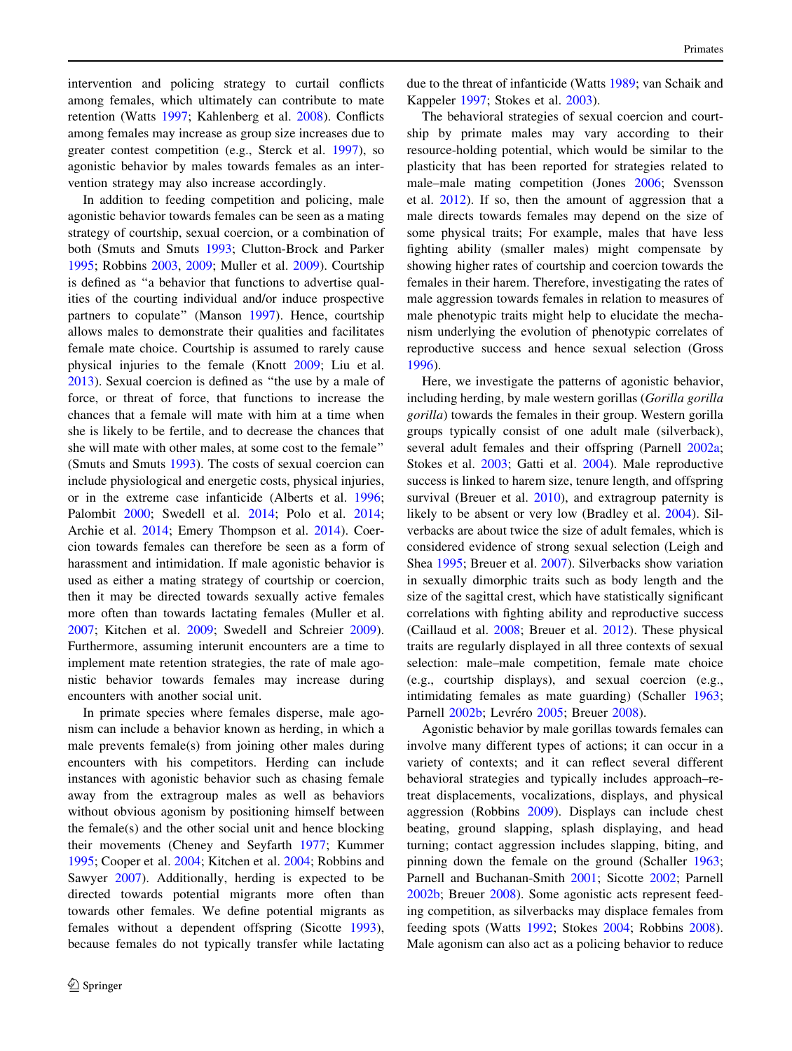intervention and policing strategy to curtail conflicts among females, which ultimately can contribute to mate retention (Watts [1997](#page-9-0); Kahlenberg et al. [2008](#page-8-0)). Conflicts among females may increase as group size increases due to greater contest competition (e.g., Sterck et al. [1997\)](#page-9-0), so agonistic behavior by males towards females as an intervention strategy may also increase accordingly.

In addition to feeding competition and policing, male agonistic behavior towards females can be seen as a mating strategy of courtship, sexual coercion, or a combination of both (Smuts and Smuts [1993](#page-9-0); Clutton-Brock and Parker [1995;](#page-8-0) Robbins [2003,](#page-9-0) [2009;](#page-9-0) Muller et al. [2009](#page-9-0)). Courtship is defined as ''a behavior that functions to advertise qualities of the courting individual and/or induce prospective partners to copulate" (Manson [1997](#page-9-0)). Hence, courtship allows males to demonstrate their qualities and facilitates female mate choice. Courtship is assumed to rarely cause physical injuries to the female (Knott [2009](#page-8-0); Liu et al. [2013\)](#page-8-0). Sexual coercion is defined as ''the use by a male of force, or threat of force, that functions to increase the chances that a female will mate with him at a time when she is likely to be fertile, and to decrease the chances that she will mate with other males, at some cost to the female'' (Smuts and Smuts [1993\)](#page-9-0). The costs of sexual coercion can include physiological and energetic costs, physical injuries, or in the extreme case infanticide (Alberts et al. [1996](#page-8-0); Palombit [2000](#page-9-0); Swedell et al. [2014;](#page-9-0) Polo et al. [2014](#page-9-0); Archie et al. [2014;](#page-8-0) Emery Thompson et al. [2014](#page-8-0)). Coercion towards females can therefore be seen as a form of harassment and intimidation. If male agonistic behavior is used as either a mating strategy of courtship or coercion, then it may be directed towards sexually active females more often than towards lactating females (Muller et al. [2007;](#page-9-0) Kitchen et al. [2009;](#page-8-0) Swedell and Schreier [2009](#page-9-0)). Furthermore, assuming interunit encounters are a time to implement mate retention strategies, the rate of male agonistic behavior towards females may increase during encounters with another social unit.

In primate species where females disperse, male agonism can include a behavior known as herding, in which a male prevents female(s) from joining other males during encounters with his competitors. Herding can include instances with agonistic behavior such as chasing female away from the extragroup males as well as behaviors without obvious agonism by positioning himself between the female(s) and the other social unit and hence blocking their movements (Cheney and Seyfarth [1977](#page-8-0); Kummer [1995;](#page-8-0) Cooper et al. [2004](#page-8-0); Kitchen et al. [2004;](#page-8-0) Robbins and Sawyer [2007\)](#page-9-0). Additionally, herding is expected to be directed towards potential migrants more often than towards other females. We define potential migrants as females without a dependent offspring (Sicotte [1993](#page-9-0)), because females do not typically transfer while lactating due to the threat of infanticide (Watts [1989](#page-9-0); van Schaik and Kappeler [1997](#page-9-0); Stokes et al. [2003\)](#page-9-0).

The behavioral strategies of sexual coercion and courtship by primate males may vary according to their resource-holding potential, which would be similar to the plasticity that has been reported for strategies related to male–male mating competition (Jones [2006](#page-8-0); Svensson et al. [2012\)](#page-9-0). If so, then the amount of aggression that a male directs towards females may depend on the size of some physical traits; For example, males that have less fighting ability (smaller males) might compensate by showing higher rates of courtship and coercion towards the females in their harem. Therefore, investigating the rates of male aggression towards females in relation to measures of male phenotypic traits might help to elucidate the mechanism underlying the evolution of phenotypic correlates of reproductive success and hence sexual selection (Gross [1996](#page-8-0)).

Here, we investigate the patterns of agonistic behavior, including herding, by male western gorillas (Gorilla gorilla gorilla) towards the females in their group. Western gorilla groups typically consist of one adult male (silverback), several adult females and their offspring (Parnell [2002a](#page-9-0); Stokes et al. [2003;](#page-9-0) Gatti et al. [2004](#page-8-0)). Male reproductive success is linked to harem size, tenure length, and offspring survival (Breuer et al. [2010\)](#page-8-0), and extragroup paternity is likely to be absent or very low (Bradley et al. [2004](#page-8-0)). Silverbacks are about twice the size of adult females, which is considered evidence of strong sexual selection (Leigh and Shea [1995](#page-8-0); Breuer et al. [2007\)](#page-8-0). Silverbacks show variation in sexually dimorphic traits such as body length and the size of the sagittal crest, which have statistically significant correlations with fighting ability and reproductive success (Caillaud et al. [2008](#page-8-0); Breuer et al. [2012](#page-8-0)). These physical traits are regularly displayed in all three contexts of sexual selection: male–male competition, female mate choice (e.g., courtship displays), and sexual coercion (e.g., intimidating females as mate guarding) (Schaller [1963](#page-9-0); Parnell [2002b;](#page-9-0) Levréro [2005;](#page-8-0) Breuer [2008\)](#page-8-0).

Agonistic behavior by male gorillas towards females can involve many different types of actions; it can occur in a variety of contexts; and it can reflect several different behavioral strategies and typically includes approach–retreat displacements, vocalizations, displays, and physical aggression (Robbins [2009\)](#page-9-0). Displays can include chest beating, ground slapping, splash displaying, and head turning; contact aggression includes slapping, biting, and pinning down the female on the ground (Schaller [1963](#page-9-0); Parnell and Buchanan-Smith [2001](#page-9-0); Sicotte [2002;](#page-9-0) Parnell [2002b](#page-9-0); Breuer [2008](#page-8-0)). Some agonistic acts represent feeding competition, as silverbacks may displace females from feeding spots (Watts [1992](#page-9-0); Stokes [2004;](#page-9-0) Robbins [2008](#page-9-0)). Male agonism can also act as a policing behavior to reduce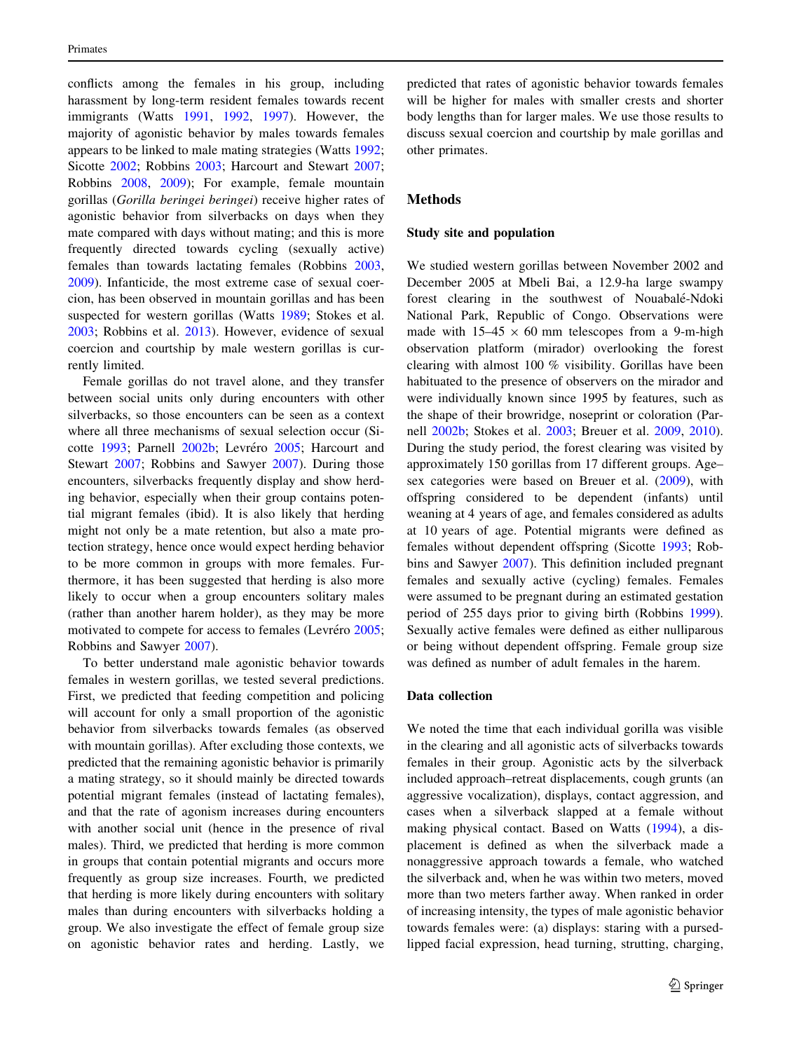conflicts among the females in his group, including harassment by long-term resident females towards recent immigrants (Watts [1991,](#page-9-0) [1992,](#page-9-0) [1997](#page-9-0)). However, the majority of agonistic behavior by males towards females appears to be linked to male mating strategies (Watts [1992](#page-9-0); Sicotte [2002;](#page-9-0) Robbins [2003;](#page-9-0) Harcourt and Stewart [2007](#page-8-0); Robbins [2008](#page-9-0), [2009](#page-9-0)); For example, female mountain gorillas (Gorilla beringei beringei) receive higher rates of agonistic behavior from silverbacks on days when they mate compared with days without mating; and this is more frequently directed towards cycling (sexually active) females than towards lactating females (Robbins [2003,](#page-9-0) [2009\)](#page-9-0). Infanticide, the most extreme case of sexual coercion, has been observed in mountain gorillas and has been suspected for western gorillas (Watts [1989;](#page-9-0) Stokes et al. [2003;](#page-9-0) Robbins et al. [2013](#page-9-0)). However, evidence of sexual coercion and courtship by male western gorillas is currently limited.

Female gorillas do not travel alone, and they transfer between social units only during encounters with other silverbacks, so those encounters can be seen as a context where all three mechanisms of sexual selection occur (Si-cotte [1993;](#page-9-0) Parnell [2002b;](#page-9-0) Levréro [2005](#page-8-0); Harcourt and Stewart [2007](#page-8-0); Robbins and Sawyer [2007\)](#page-9-0). During those encounters, silverbacks frequently display and show herding behavior, especially when their group contains potential migrant females (ibid). It is also likely that herding might not only be a mate retention, but also a mate protection strategy, hence once would expect herding behavior to be more common in groups with more females. Furthermore, it has been suggested that herding is also more likely to occur when a group encounters solitary males (rather than another harem holder), as they may be more motivated to compete for access to females (Levréro [2005](#page-8-0); Robbins and Sawyer [2007\)](#page-9-0).

To better understand male agonistic behavior towards females in western gorillas, we tested several predictions. First, we predicted that feeding competition and policing will account for only a small proportion of the agonistic behavior from silverbacks towards females (as observed with mountain gorillas). After excluding those contexts, we predicted that the remaining agonistic behavior is primarily a mating strategy, so it should mainly be directed towards potential migrant females (instead of lactating females), and that the rate of agonism increases during encounters with another social unit (hence in the presence of rival males). Third, we predicted that herding is more common in groups that contain potential migrants and occurs more frequently as group size increases. Fourth, we predicted that herding is more likely during encounters with solitary males than during encounters with silverbacks holding a group. We also investigate the effect of female group size on agonistic behavior rates and herding. Lastly, we predicted that rates of agonistic behavior towards females will be higher for males with smaller crests and shorter body lengths than for larger males. We use those results to discuss sexual coercion and courtship by male gorillas and other primates.

#### Methods

#### Study site and population

We studied western gorillas between November 2002 and December 2005 at Mbeli Bai, a 12.9-ha large swampy forest clearing in the southwest of Nouabalé-Ndoki National Park, Republic of Congo. Observations were made with  $15-45 \times 60$  mm telescopes from a 9-m-high observation platform (mirador) overlooking the forest clearing with almost 100 % visibility. Gorillas have been habituated to the presence of observers on the mirador and were individually known since 1995 by features, such as the shape of their browridge, noseprint or coloration (Parnell [2002b;](#page-9-0) Stokes et al. [2003;](#page-9-0) Breuer et al. [2009](#page-8-0), [2010](#page-8-0)). During the study period, the forest clearing was visited by approximately 150 gorillas from 17 different groups. Age– sex categories were based on Breuer et al. ([2009\)](#page-8-0), with offspring considered to be dependent (infants) until weaning at 4 years of age, and females considered as adults at 10 years of age. Potential migrants were defined as females without dependent offspring (Sicotte [1993](#page-9-0); Robbins and Sawyer [2007](#page-9-0)). This definition included pregnant females and sexually active (cycling) females. Females were assumed to be pregnant during an estimated gestation period of 255 days prior to giving birth (Robbins [1999](#page-9-0)). Sexually active females were defined as either nulliparous or being without dependent offspring. Female group size was defined as number of adult females in the harem.

## Data collection

We noted the time that each individual gorilla was visible in the clearing and all agonistic acts of silverbacks towards females in their group. Agonistic acts by the silverback included approach–retreat displacements, cough grunts (an aggressive vocalization), displays, contact aggression, and cases when a silverback slapped at a female without making physical contact. Based on Watts ([1994\)](#page-9-0), a displacement is defined as when the silverback made a nonaggressive approach towards a female, who watched the silverback and, when he was within two meters, moved more than two meters farther away. When ranked in order of increasing intensity, the types of male agonistic behavior towards females were: (a) displays: staring with a pursedlipped facial expression, head turning, strutting, charging,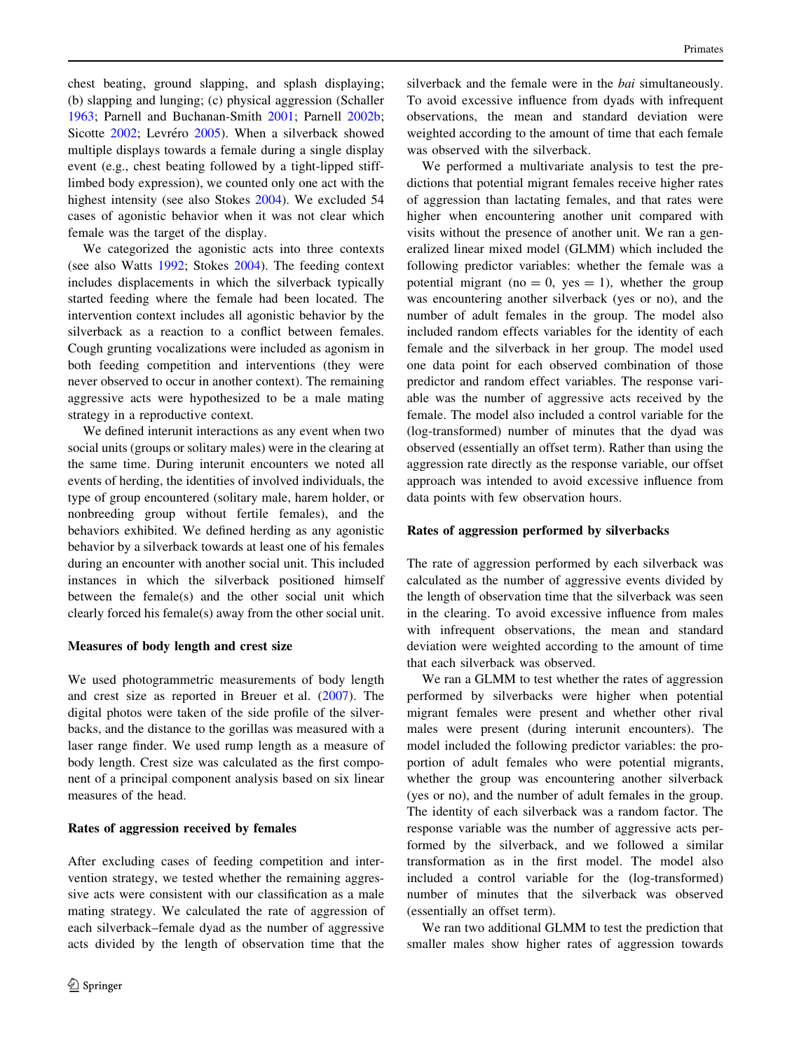chest beating, ground slapping, and splash displaying; (b) slapping and lunging; (c) physical aggression (Schaller [1963;](#page-9-0) Parnell and Buchanan-Smith [2001](#page-9-0); Parnell [2002b](#page-9-0); Sicotte [2002](#page-9-0); Levréro [2005](#page-8-0)). When a silverback showed multiple displays towards a female during a single display event (e.g., chest beating followed by a tight-lipped stifflimbed body expression), we counted only one act with the highest intensity (see also Stokes [2004\)](#page-9-0). We excluded 54 cases of agonistic behavior when it was not clear which female was the target of the display.

We categorized the agonistic acts into three contexts (see also Watts [1992;](#page-9-0) Stokes [2004](#page-9-0)). The feeding context includes displacements in which the silverback typically started feeding where the female had been located. The intervention context includes all agonistic behavior by the silverback as a reaction to a conflict between females. Cough grunting vocalizations were included as agonism in both feeding competition and interventions (they were never observed to occur in another context). The remaining aggressive acts were hypothesized to be a male mating strategy in a reproductive context.

We defined interunit interactions as any event when two social units (groups or solitary males) were in the clearing at the same time. During interunit encounters we noted all events of herding, the identities of involved individuals, the type of group encountered (solitary male, harem holder, or nonbreeding group without fertile females), and the behaviors exhibited. We defined herding as any agonistic behavior by a silverback towards at least one of his females during an encounter with another social unit. This included instances in which the silverback positioned himself between the female(s) and the other social unit which clearly forced his female(s) away from the other social unit.

#### Measures of body length and crest size

We used photogrammetric measurements of body length and crest size as reported in Breuer et al. [\(2007](#page-8-0)). The digital photos were taken of the side profile of the silverbacks, and the distance to the gorillas was measured with a laser range finder. We used rump length as a measure of body length. Crest size was calculated as the first component of a principal component analysis based on six linear measures of the head.

#### Rates of aggression received by females

After excluding cases of feeding competition and intervention strategy, we tested whether the remaining aggressive acts were consistent with our classification as a male mating strategy. We calculated the rate of aggression of each silverback–female dyad as the number of aggressive acts divided by the length of observation time that the silverback and the female were in the *bai* simultaneously. To avoid excessive influence from dyads with infrequent observations, the mean and standard deviation were weighted according to the amount of time that each female was observed with the silverback.

We performed a multivariate analysis to test the predictions that potential migrant females receive higher rates of aggression than lactating females, and that rates were higher when encountering another unit compared with visits without the presence of another unit. We ran a generalized linear mixed model (GLMM) which included the following predictor variables: whether the female was a potential migrant (no  $= 0$ , yes  $= 1$ ), whether the group was encountering another silverback (yes or no), and the number of adult females in the group. The model also included random effects variables for the identity of each female and the silverback in her group. The model used one data point for each observed combination of those predictor and random effect variables. The response variable was the number of aggressive acts received by the female. The model also included a control variable for the (log-transformed) number of minutes that the dyad was observed (essentially an offset term). Rather than using the aggression rate directly as the response variable, our offset approach was intended to avoid excessive influence from data points with few observation hours.

## Rates of aggression performed by silverbacks

The rate of aggression performed by each silverback was calculated as the number of aggressive events divided by the length of observation time that the silverback was seen in the clearing. To avoid excessive influence from males with infrequent observations, the mean and standard deviation were weighted according to the amount of time that each silverback was observed.

We ran a GLMM to test whether the rates of aggression performed by silverbacks were higher when potential migrant females were present and whether other rival males were present (during interunit encounters). The model included the following predictor variables: the proportion of adult females who were potential migrants, whether the group was encountering another silverback (yes or no), and the number of adult females in the group. The identity of each silverback was a random factor. The response variable was the number of aggressive acts performed by the silverback, and we followed a similar transformation as in the first model. The model also included a control variable for the (log-transformed) number of minutes that the silverback was observed (essentially an offset term).

We ran two additional GLMM to test the prediction that smaller males show higher rates of aggression towards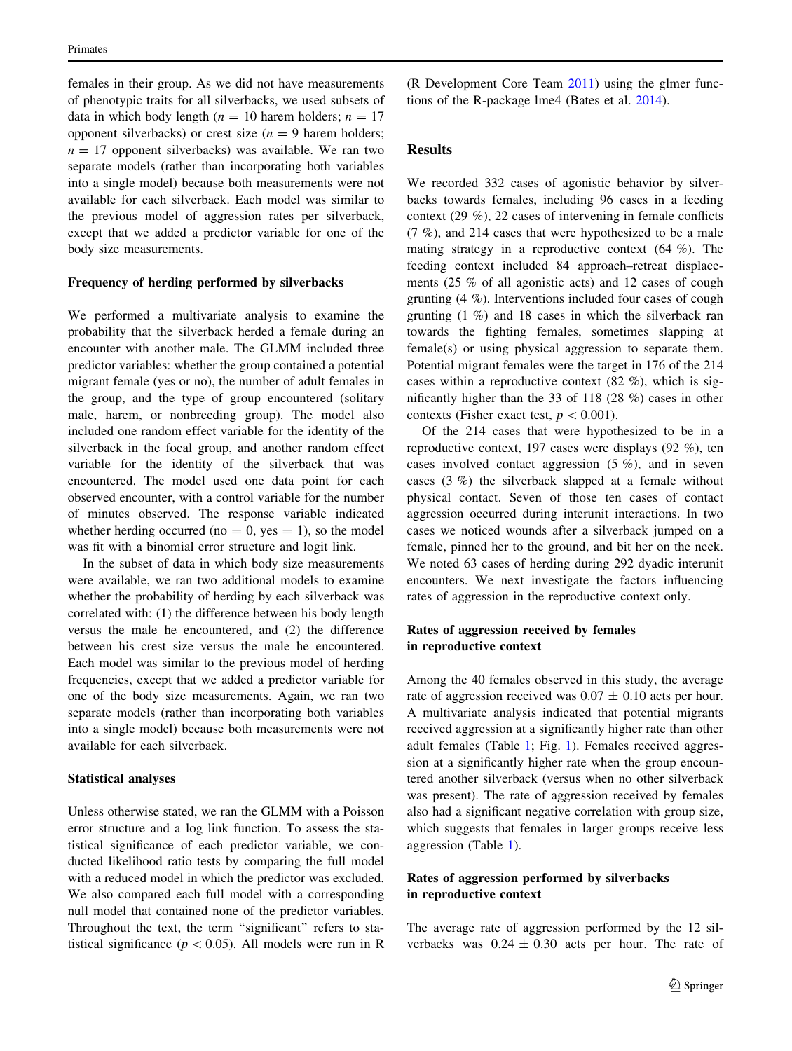females in their group. As we did not have measurements of phenotypic traits for all silverbacks, we used subsets of data in which body length ( $n = 10$  harem holders;  $n = 17$ opponent silverbacks) or crest size  $(n = 9)$  harem holders;  $n = 17$  opponent silverbacks) was available. We ran two separate models (rather than incorporating both variables into a single model) because both measurements were not available for each silverback. Each model was similar to the previous model of aggression rates per silverback, except that we added a predictor variable for one of the body size measurements.

## Frequency of herding performed by silverbacks

We performed a multivariate analysis to examine the probability that the silverback herded a female during an encounter with another male. The GLMM included three predictor variables: whether the group contained a potential migrant female (yes or no), the number of adult females in the group, and the type of group encountered (solitary male, harem, or nonbreeding group). The model also included one random effect variable for the identity of the silverback in the focal group, and another random effect variable for the identity of the silverback that was encountered. The model used one data point for each observed encounter, with a control variable for the number of minutes observed. The response variable indicated whether herding occurred (no  $= 0$ , yes  $= 1$ ), so the model was fit with a binomial error structure and logit link.

In the subset of data in which body size measurements were available, we ran two additional models to examine whether the probability of herding by each silverback was correlated with: (1) the difference between his body length versus the male he encountered, and (2) the difference between his crest size versus the male he encountered. Each model was similar to the previous model of herding frequencies, except that we added a predictor variable for one of the body size measurements. Again, we ran two separate models (rather than incorporating both variables into a single model) because both measurements were not available for each silverback.

## Statistical analyses

Unless otherwise stated, we ran the GLMM with a Poisson error structure and a log link function. To assess the statistical significance of each predictor variable, we conducted likelihood ratio tests by comparing the full model with a reduced model in which the predictor was excluded. We also compared each full model with a corresponding null model that contained none of the predictor variables. Throughout the text, the term "significant" refers to statistical significance ( $p < 0.05$ ). All models were run in R (R Development Core Team [2011](#page-9-0)) using the glmer functions of the R-package lme4 (Bates et al. [2014](#page-8-0)).

## Results

We recorded 332 cases of agonistic behavior by silverbacks towards females, including 96 cases in a feeding context (29 %), 22 cases of intervening in female conflicts (7 %), and 214 cases that were hypothesized to be a male mating strategy in a reproductive context  $(64 \%)$ . The feeding context included 84 approach–retreat displacements (25 % of all agonistic acts) and 12 cases of cough grunting (4 %). Interventions included four cases of cough grunting (1 %) and 18 cases in which the silverback ran towards the fighting females, sometimes slapping at female(s) or using physical aggression to separate them. Potential migrant females were the target in 176 of the 214 cases within a reproductive context (82 %), which is significantly higher than the 33 of 118 (28 %) cases in other contexts (Fisher exact test,  $p < 0.001$ ).

Of the 214 cases that were hypothesized to be in a reproductive context, 197 cases were displays (92 %), ten cases involved contact aggression (5 %), and in seven cases (3 %) the silverback slapped at a female without physical contact. Seven of those ten cases of contact aggression occurred during interunit interactions. In two cases we noticed wounds after a silverback jumped on a female, pinned her to the ground, and bit her on the neck. We noted 63 cases of herding during 292 dyadic interunit encounters. We next investigate the factors influencing rates of aggression in the reproductive context only.

# Rates of aggression received by females in reproductive context

Among the 40 females observed in this study, the average rate of aggression received was  $0.07 \pm 0.10$  acts per hour. A multivariate analysis indicated that potential migrants received aggression at a significantly higher rate than other adult females (Table [1;](#page-5-0) Fig. [1](#page-5-0)). Females received aggression at a significantly higher rate when the group encountered another silverback (versus when no other silverback was present). The rate of aggression received by females also had a significant negative correlation with group size, which suggests that females in larger groups receive less aggression (Table [1\)](#page-5-0).

# Rates of aggression performed by silverbacks in reproductive context

The average rate of aggression performed by the 12 silverbacks was  $0.24 \pm 0.30$  acts per hour. The rate of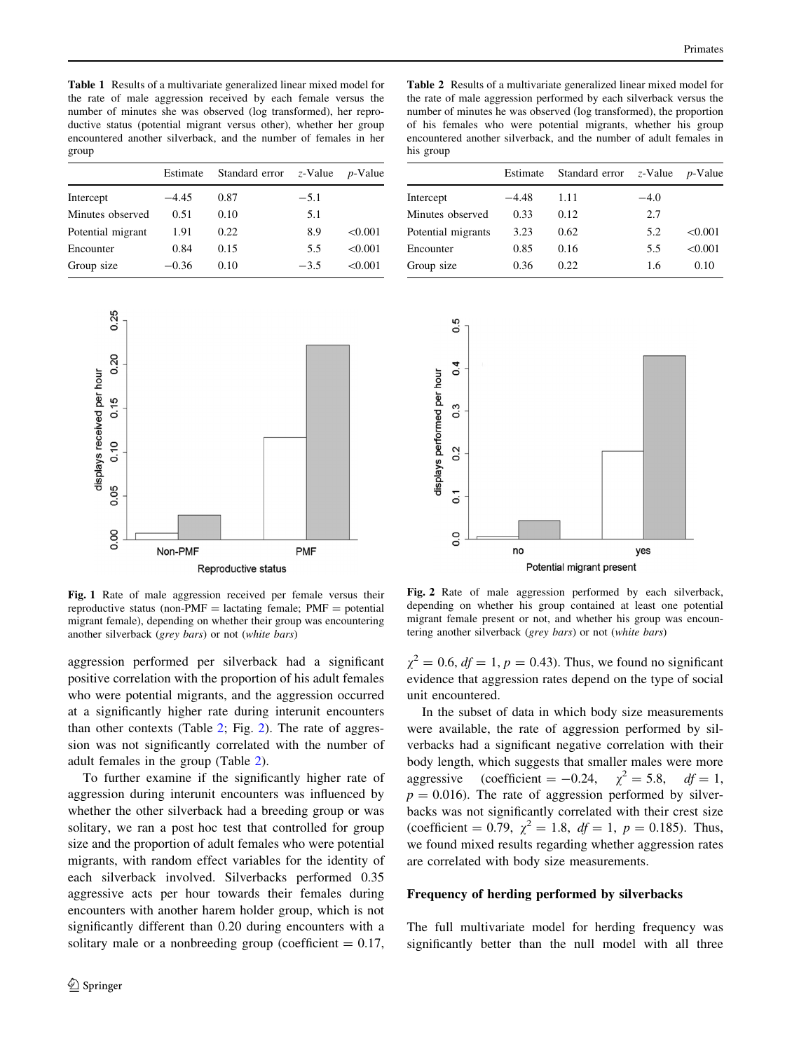<span id="page-5-0"></span>Table 1 Results of a multivariate generalized linear mixed model for the rate of male aggression received by each female versus the number of minutes she was observed (log transformed), her reproductive status (potential migrant versus other), whether her group encountered another silverback, and the number of females in her group

|                   | Estimate | Standard error | $z$ -Value | $p$ -Value |
|-------------------|----------|----------------|------------|------------|
| Intercept         | $-4.45$  | 0.87           | $-5.1$     |            |
| Minutes observed  | 0.51     | 0.10           | 5.1        |            |
| Potential migrant | 1.91     | 0.22           | 8.9        | < 0.001    |
| Encounter         | 0.84     | 0.15           | 5.5        | < 0.001    |
| Group size        | $-0.36$  | 0.10           | $-3.5$     | < 0.001    |
|                   |          |                |            |            |



Fig. 1 Rate of male aggression received per female versus their reproductive status (non-PMF = lactating female;  $PMF =$  potential migrant female), depending on whether their group was encountering another silverback (grey bars) or not (white bars)

aggression performed per silverback had a significant positive correlation with the proportion of his adult females who were potential migrants, and the aggression occurred at a significantly higher rate during interunit encounters than other contexts (Table 2; Fig. 2). The rate of aggression was not significantly correlated with the number of adult females in the group (Table 2).

To further examine if the significantly higher rate of aggression during interunit encounters was influenced by whether the other silverback had a breeding group or was solitary, we ran a post hoc test that controlled for group size and the proportion of adult females who were potential migrants, with random effect variables for the identity of each silverback involved. Silverbacks performed 0.35 aggressive acts per hour towards their females during encounters with another harem holder group, which is not significantly different than 0.20 during encounters with a solitary male or a nonbreeding group (coefficient  $= 0.17$ ,

Table 2 Results of a multivariate generalized linear mixed model for the rate of male aggression performed by each silverback versus the number of minutes he was observed (log transformed), the proportion of his females who were potential migrants, whether his group encountered another silverback, and the number of adult females in his group

|                    | Estimate | Standard error $z$ -Value |        | $p$ -Value |
|--------------------|----------|---------------------------|--------|------------|
| Intercept          | $-4.48$  | 1.11                      | $-4.0$ |            |
| Minutes observed   | 0.33     | 0.12                      | 2.7    |            |
| Potential migrants | 3.23     | 0.62                      | 5.2    | < 0.001    |
| Encounter          | 0.85     | 0.16                      | 5.5    | < 0.001    |
| Group size         | 0.36     | 0.22.                     | 1.6    | 0.10       |
|                    |          |                           |        |            |



Fig. 2 Rate of male aggression performed by each silverback, depending on whether his group contained at least one potential migrant female present or not, and whether his group was encountering another silverback (grey bars) or not (white bars)

 $\chi^2 = 0.6$ ,  $df = 1$ ,  $p = 0.43$ ). Thus, we found no significant evidence that aggression rates depend on the type of social unit encountered.

In the subset of data in which body size measurements were available, the rate of aggression performed by silverbacks had a significant negative correlation with their body length, which suggests that smaller males were more aggressive (coefficient = -0.24,  $\chi^2 = 5.8$ ,  $df = 1$ ,  $p = 0.016$ ). The rate of aggression performed by silverbacks was not significantly correlated with their crest size (coefficient = 0.79,  $\chi^2 = 1.8$ ,  $df = 1$ ,  $p = 0.185$ ). Thus, we found mixed results regarding whether aggression rates are correlated with body size measurements.

#### Frequency of herding performed by silverbacks

The full multivariate model for herding frequency was significantly better than the null model with all three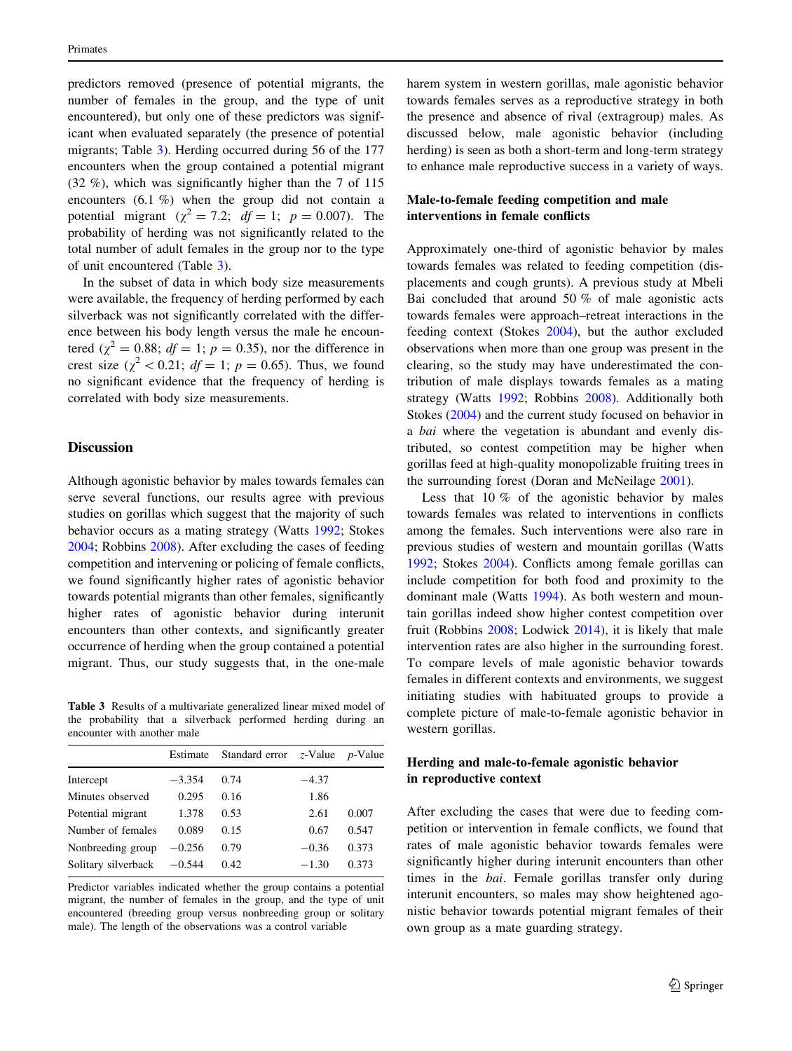predictors removed (presence of potential migrants, the number of females in the group, and the type of unit encountered), but only one of these predictors was significant when evaluated separately (the presence of potential migrants; Table 3). Herding occurred during 56 of the 177 encounters when the group contained a potential migrant (32 %), which was significantly higher than the 7 of 115 encounters (6.1 %) when the group did not contain a potential migrant ( $\chi^2 = 7.2$ ;  $df = 1$ ;  $p = 0.007$ ). The probability of herding was not significantly related to the total number of adult females in the group nor to the type of unit encountered (Table 3).

In the subset of data in which body size measurements were available, the frequency of herding performed by each silverback was not significantly correlated with the difference between his body length versus the male he encountered ( $\chi^2 = 0.88$ ;  $df = 1$ ;  $p = 0.35$ ), nor the difference in crest size ( $\chi^2$  < 0.21;  $df = 1$ ;  $p = 0.65$ ). Thus, we found no significant evidence that the frequency of herding is correlated with body size measurements.

# **Discussion**

Although agonistic behavior by males towards females can serve several functions, our results agree with previous studies on gorillas which suggest that the majority of such behavior occurs as a mating strategy (Watts [1992](#page-9-0); Stokes [2004;](#page-9-0) Robbins [2008](#page-9-0)). After excluding the cases of feeding competition and intervening or policing of female conflicts, we found significantly higher rates of agonistic behavior towards potential migrants than other females, significantly higher rates of agonistic behavior during interunit encounters than other contexts, and significantly greater occurrence of herding when the group contained a potential migrant. Thus, our study suggests that, in the one-male

Table 3 Results of a multivariate generalized linear mixed model of the probability that a silverback performed herding during an encounter with another male

|                              |          | Estimate Standard error $z$ -Value <i>p</i> -Value |         |       |
|------------------------------|----------|----------------------------------------------------|---------|-------|
| Intercept                    | $-3.354$ | 0.74                                               | $-4.37$ |       |
| Minutes observed             | 0.295    | 0.16                                               | 1.86    |       |
| Potential migrant            | 1.378    | 0.53                                               | 2.61    | 0.007 |
| Number of females            | 0.089    | 0.15                                               | 0.67    | 0.547 |
| Nonbreeding group            | $-0.256$ | 0.79                                               | $-0.36$ | 0.373 |
| Solitary silverback $-0.544$ |          | 0.42                                               | $-1.30$ | 0.373 |
|                              |          |                                                    |         |       |

Predictor variables indicated whether the group contains a potential migrant, the number of females in the group, and the type of unit encountered (breeding group versus nonbreeding group or solitary male). The length of the observations was a control variable

harem system in western gorillas, male agonistic behavior towards females serves as a reproductive strategy in both the presence and absence of rival (extragroup) males. As discussed below, male agonistic behavior (including herding) is seen as both a short-term and long-term strategy to enhance male reproductive success in a variety of ways.

# Male-to-female feeding competition and male interventions in female conflicts

Approximately one-third of agonistic behavior by males towards females was related to feeding competition (displacements and cough grunts). A previous study at Mbeli Bai concluded that around 50 % of male agonistic acts towards females were approach–retreat interactions in the feeding context (Stokes [2004](#page-9-0)), but the author excluded observations when more than one group was present in the clearing, so the study may have underestimated the contribution of male displays towards females as a mating strategy (Watts [1992](#page-9-0); Robbins [2008](#page-9-0)). Additionally both Stokes ([2004\)](#page-9-0) and the current study focused on behavior in a bai where the vegetation is abundant and evenly distributed, so contest competition may be higher when gorillas feed at high-quality monopolizable fruiting trees in the surrounding forest (Doran and McNeilage [2001\)](#page-8-0).

Less that  $10\%$  of the agonistic behavior by males towards females was related to interventions in conflicts among the females. Such interventions were also rare in previous studies of western and mountain gorillas (Watts [1992](#page-9-0); Stokes [2004\)](#page-9-0). Conflicts among female gorillas can include competition for both food and proximity to the dominant male (Watts [1994\)](#page-9-0). As both western and mountain gorillas indeed show higher contest competition over fruit (Robbins [2008;](#page-9-0) Lodwick [2014\)](#page-9-0), it is likely that male intervention rates are also higher in the surrounding forest. To compare levels of male agonistic behavior towards females in different contexts and environments, we suggest initiating studies with habituated groups to provide a complete picture of male-to-female agonistic behavior in western gorillas.

# Herding and male-to-female agonistic behavior in reproductive context

After excluding the cases that were due to feeding competition or intervention in female conflicts, we found that rates of male agonistic behavior towards females were significantly higher during interunit encounters than other times in the bai. Female gorillas transfer only during interunit encounters, so males may show heightened agonistic behavior towards potential migrant females of their own group as a mate guarding strategy.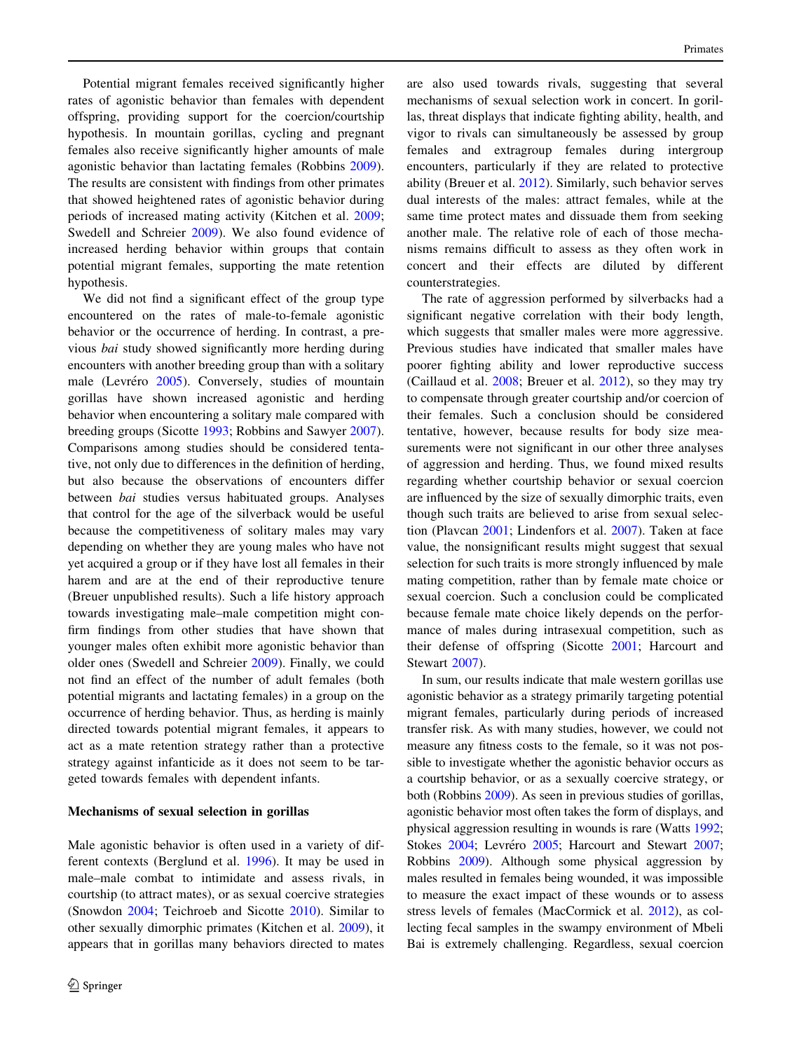Potential migrant females received significantly higher rates of agonistic behavior than females with dependent offspring, providing support for the coercion/courtship hypothesis. In mountain gorillas, cycling and pregnant females also receive significantly higher amounts of male agonistic behavior than lactating females (Robbins [2009](#page-9-0)). The results are consistent with findings from other primates that showed heightened rates of agonistic behavior during periods of increased mating activity (Kitchen et al. [2009](#page-8-0); Swedell and Schreier [2009](#page-9-0)). We also found evidence of increased herding behavior within groups that contain potential migrant females, supporting the mate retention hypothesis.

We did not find a significant effect of the group type encountered on the rates of male-to-female agonistic behavior or the occurrence of herding. In contrast, a previous bai study showed significantly more herding during encounters with another breeding group than with a solitary male (Levréro [2005](#page-8-0)). Conversely, studies of mountain gorillas have shown increased agonistic and herding behavior when encountering a solitary male compared with breeding groups (Sicotte [1993](#page-9-0); Robbins and Sawyer [2007](#page-9-0)). Comparisons among studies should be considered tentative, not only due to differences in the definition of herding, but also because the observations of encounters differ between bai studies versus habituated groups. Analyses that control for the age of the silverback would be useful because the competitiveness of solitary males may vary depending on whether they are young males who have not yet acquired a group or if they have lost all females in their harem and are at the end of their reproductive tenure (Breuer unpublished results). Such a life history approach towards investigating male–male competition might confirm findings from other studies that have shown that younger males often exhibit more agonistic behavior than older ones (Swedell and Schreier [2009](#page-9-0)). Finally, we could not find an effect of the number of adult females (both potential migrants and lactating females) in a group on the occurrence of herding behavior. Thus, as herding is mainly directed towards potential migrant females, it appears to act as a mate retention strategy rather than a protective strategy against infanticide as it does not seem to be targeted towards females with dependent infants.

#### Mechanisms of sexual selection in gorillas

Male agonistic behavior is often used in a variety of different contexts (Berglund et al. [1996](#page-8-0)). It may be used in male–male combat to intimidate and assess rivals, in courtship (to attract mates), or as sexual coercive strategies (Snowdon [2004;](#page-9-0) Teichroeb and Sicotte [2010\)](#page-9-0). Similar to other sexually dimorphic primates (Kitchen et al. [2009\)](#page-8-0), it appears that in gorillas many behaviors directed to mates are also used towards rivals, suggesting that several mechanisms of sexual selection work in concert. In gorillas, threat displays that indicate fighting ability, health, and vigor to rivals can simultaneously be assessed by group females and extragroup females during intergroup encounters, particularly if they are related to protective ability (Breuer et al. [2012](#page-8-0)). Similarly, such behavior serves dual interests of the males: attract females, while at the same time protect mates and dissuade them from seeking another male. The relative role of each of those mechanisms remains difficult to assess as they often work in concert and their effects are diluted by different counterstrategies.

The rate of aggression performed by silverbacks had a significant negative correlation with their body length, which suggests that smaller males were more aggressive. Previous studies have indicated that smaller males have poorer fighting ability and lower reproductive success (Caillaud et al. [2008](#page-8-0); Breuer et al. [2012\)](#page-8-0), so they may try to compensate through greater courtship and/or coercion of their females. Such a conclusion should be considered tentative, however, because results for body size measurements were not significant in our other three analyses of aggression and herding. Thus, we found mixed results regarding whether courtship behavior or sexual coercion are influenced by the size of sexually dimorphic traits, even though such traits are believed to arise from sexual selection (Plavcan [2001](#page-9-0); Lindenfors et al. [2007\)](#page-8-0). Taken at face value, the nonsignificant results might suggest that sexual selection for such traits is more strongly influenced by male mating competition, rather than by female mate choice or sexual coercion. Such a conclusion could be complicated because female mate choice likely depends on the performance of males during intrasexual competition, such as their defense of offspring (Sicotte [2001;](#page-9-0) Harcourt and Stewart [2007](#page-8-0)).

In sum, our results indicate that male western gorillas use agonistic behavior as a strategy primarily targeting potential migrant females, particularly during periods of increased transfer risk. As with many studies, however, we could not measure any fitness costs to the female, so it was not possible to investigate whether the agonistic behavior occurs as a courtship behavior, or as a sexually coercive strategy, or both (Robbins [2009](#page-9-0)). As seen in previous studies of gorillas, agonistic behavior most often takes the form of displays, and physical aggression resulting in wounds is rare (Watts [1992](#page-9-0); Stokes [2004;](#page-9-0) Levréro [2005](#page-8-0); Harcourt and Stewart [2007](#page-8-0); Robbins [2009\)](#page-9-0). Although some physical aggression by males resulted in females being wounded, it was impossible to measure the exact impact of these wounds or to assess stress levels of females (MacCormick et al. [2012](#page-9-0)), as collecting fecal samples in the swampy environment of Mbeli Bai is extremely challenging. Regardless, sexual coercion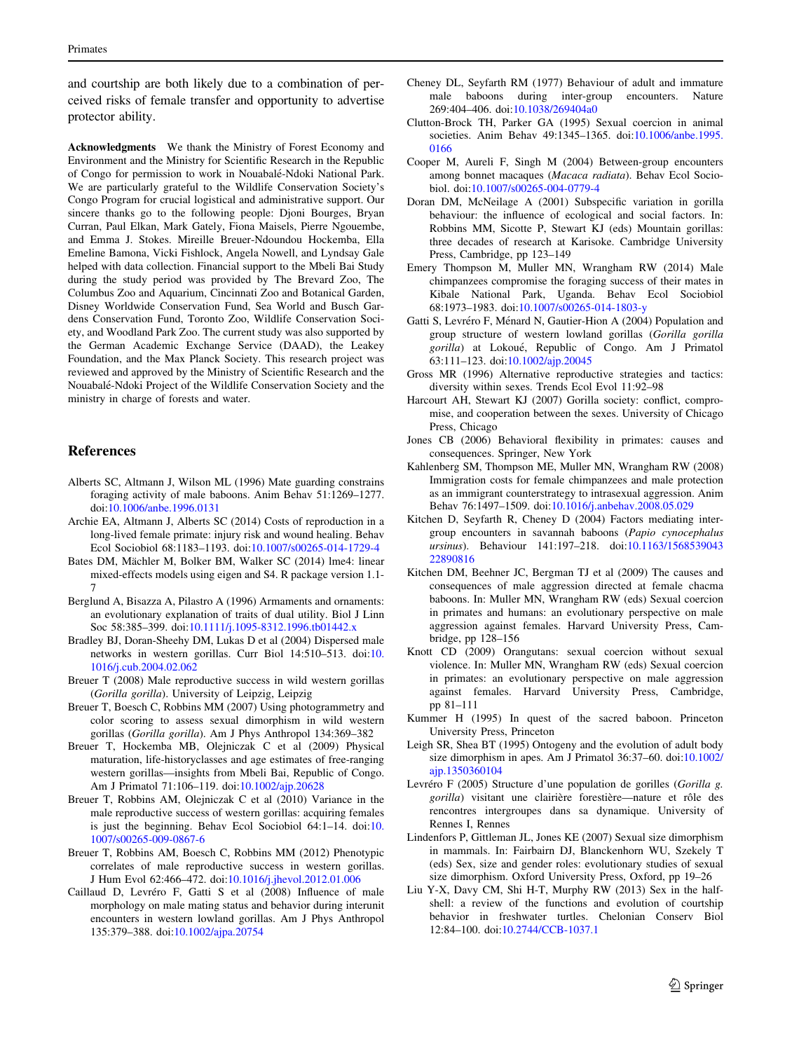<span id="page-8-0"></span>and courtship are both likely due to a combination of perceived risks of female transfer and opportunity to advertise protector ability.

Acknowledgments We thank the Ministry of Forest Economy and Environment and the Ministry for Scientific Research in the Republic of Congo for permission to work in Nouabale´-Ndoki National Park. We are particularly grateful to the Wildlife Conservation Society's Congo Program for crucial logistical and administrative support. Our sincere thanks go to the following people: Djoni Bourges, Bryan Curran, Paul Elkan, Mark Gately, Fiona Maisels, Pierre Ngouembe, and Emma J. Stokes. Mireille Breuer-Ndoundou Hockemba, Ella Emeline Bamona, Vicki Fishlock, Angela Nowell, and Lyndsay Gale helped with data collection. Financial support to the Mbeli Bai Study during the study period was provided by The Brevard Zoo, The Columbus Zoo and Aquarium, Cincinnati Zoo and Botanical Garden, Disney Worldwide Conservation Fund, Sea World and Busch Gardens Conservation Fund, Toronto Zoo, Wildlife Conservation Society, and Woodland Park Zoo. The current study was also supported by the German Academic Exchange Service (DAAD), the Leakey Foundation, and the Max Planck Society. This research project was reviewed and approved by the Ministry of Scientific Research and the Nouabale´-Ndoki Project of the Wildlife Conservation Society and the ministry in charge of forests and water.

## References

- Alberts SC, Altmann J, Wilson ML (1996) Mate guarding constrains foraging activity of male baboons. Anim Behav 51:1269–1277. doi[:10.1006/anbe.1996.0131](http://dx.doi.org/10.1006/anbe.1996.0131)
- Archie EA, Altmann J, Alberts SC (2014) Costs of reproduction in a long-lived female primate: injury risk and wound healing. Behav Ecol Sociobiol 68:1183–1193. doi:[10.1007/s00265-014-1729-4](http://dx.doi.org/10.1007/s00265-014-1729-4)
- Bates DM, Mächler M, Bolker BM, Walker SC (2014) lme4: linear mixed-effects models using eigen and S4. R package version 1.1- 7
- Berglund A, Bisazza A, Pilastro A (1996) Armaments and ornaments: an evolutionary explanation of traits of dual utility. Biol J Linn Soc 58:385–399. doi[:10.1111/j.1095-8312.1996.tb01442.x](http://dx.doi.org/10.1111/j.1095-8312.1996.tb01442.x)
- Bradley BJ, Doran-Sheehy DM, Lukas D et al (2004) Dispersed male networks in western gorillas. Curr Biol 14:510–513. doi:[10.](http://dx.doi.org/10.1016/j.cub.2004.02.062) [1016/j.cub.2004.02.062](http://dx.doi.org/10.1016/j.cub.2004.02.062)
- Breuer T (2008) Male reproductive success in wild western gorillas (Gorilla gorilla). University of Leipzig, Leipzig
- Breuer T, Boesch C, Robbins MM (2007) Using photogrammetry and color scoring to assess sexual dimorphism in wild western gorillas (Gorilla gorilla). Am J Phys Anthropol 134:369–382
- Breuer T, Hockemba MB, Olejniczak C et al (2009) Physical maturation, life-historyclasses and age estimates of free-ranging western gorillas—insights from Mbeli Bai, Republic of Congo. Am J Primatol 71:106–119. doi[:10.1002/ajp.20628](http://dx.doi.org/10.1002/ajp.20628)
- Breuer T, Robbins AM, Olejniczak C et al (2010) Variance in the male reproductive success of western gorillas: acquiring females is just the beginning. Behav Ecol Sociobiol 64:1–14. doi:[10.](http://dx.doi.org/10.1007/s00265-009-0867-6) [1007/s00265-009-0867-6](http://dx.doi.org/10.1007/s00265-009-0867-6)
- Breuer T, Robbins AM, Boesch C, Robbins MM (2012) Phenotypic correlates of male reproductive success in western gorillas. J Hum Evol 62:466–472. doi[:10.1016/j.jhevol.2012.01.006](http://dx.doi.org/10.1016/j.jhevol.2012.01.006)
- Caillaud D, Levréro F, Gatti S et al (2008) Influence of male morphology on male mating status and behavior during interunit encounters in western lowland gorillas. Am J Phys Anthropol 135:379–388. doi:[10.1002/ajpa.20754](http://dx.doi.org/10.1002/ajpa.20754)
- Cheney DL, Seyfarth RM (1977) Behaviour of adult and immature male baboons during inter-group encounters. Nature 269:404–406. doi[:10.1038/269404a0](http://dx.doi.org/10.1038/269404a0)
- Clutton-Brock TH, Parker GA (1995) Sexual coercion in animal societies. Anim Behav 49:1345–1365. doi[:10.1006/anbe.1995.](http://dx.doi.org/10.1006/anbe.1995.0166) [0166](http://dx.doi.org/10.1006/anbe.1995.0166)
- Cooper M, Aureli F, Singh M (2004) Between-group encounters among bonnet macaques (Macaca radiata). Behav Ecol Sociobiol. doi:[10.1007/s00265-004-0779-4](http://dx.doi.org/10.1007/s00265-004-0779-4)
- Doran DM, McNeilage A (2001) Subspecific variation in gorilla behaviour: the influence of ecological and social factors. In: Robbins MM, Sicotte P, Stewart KJ (eds) Mountain gorillas: three decades of research at Karisoke. Cambridge University Press, Cambridge, pp 123–149
- Emery Thompson M, Muller MN, Wrangham RW (2014) Male chimpanzees compromise the foraging success of their mates in Kibale National Park, Uganda. Behav Ecol Sociobiol 68:1973–1983. doi[:10.1007/s00265-014-1803-y](http://dx.doi.org/10.1007/s00265-014-1803-y)
- Gatti S, Levréro F, Ménard N, Gautier-Hion A (2004) Population and group structure of western lowland gorillas (Gorilla gorilla gorilla) at Lokoué, Republic of Congo. Am J Primatol 63:111–123. doi:[10.1002/ajp.20045](http://dx.doi.org/10.1002/ajp.20045)
- Gross MR (1996) Alternative reproductive strategies and tactics: diversity within sexes. Trends Ecol Evol 11:92–98
- Harcourt AH, Stewart KJ (2007) Gorilla society: conflict, compromise, and cooperation between the sexes. University of Chicago Press, Chicago
- Jones CB (2006) Behavioral flexibility in primates: causes and consequences. Springer, New York
- Kahlenberg SM, Thompson ME, Muller MN, Wrangham RW (2008) Immigration costs for female chimpanzees and male protection as an immigrant counterstrategy to intrasexual aggression. Anim Behav 76:1497–1509. doi:[10.1016/j.anbehav.2008.05.029](http://dx.doi.org/10.1016/j.anbehav.2008.05.029)
- Kitchen D, Seyfarth R, Cheney D (2004) Factors mediating intergroup encounters in savannah baboons (Papio cynocephalus ursinus). Behaviour 141:197–218. doi:[10.1163/1568539043](http://dx.doi.org/10.1163/156853904322890816) [22890816](http://dx.doi.org/10.1163/156853904322890816)
- Kitchen DM, Beehner JC, Bergman TJ et al (2009) The causes and consequences of male aggression directed at female chacma baboons. In: Muller MN, Wrangham RW (eds) Sexual coercion in primates and humans: an evolutionary perspective on male aggression against females. Harvard University Press, Cambridge, pp 128–156
- Knott CD (2009) Orangutans: sexual coercion without sexual violence. In: Muller MN, Wrangham RW (eds) Sexual coercion in primates: an evolutionary perspective on male aggression against females. Harvard University Press, Cambridge, pp 81–111
- Kummer H (1995) In quest of the sacred baboon. Princeton University Press, Princeton
- Leigh SR, Shea BT (1995) Ontogeny and the evolution of adult body size dimorphism in apes. Am J Primatol 36:37–60. doi[:10.1002/](http://dx.doi.org/10.1002/ajp.1350360104) [ajp.1350360104](http://dx.doi.org/10.1002/ajp.1350360104)
- Levréro F (2005) Structure d'une population de gorilles (Gorilla g. gorilla) visitant une clairière forestière—nature et rôle des rencontres intergroupes dans sa dynamique. University of Rennes I, Rennes
- Lindenfors P, Gittleman JL, Jones KE (2007) Sexual size dimorphism in mammals. In: Fairbairn DJ, Blanckenhorn WU, Szekely T (eds) Sex, size and gender roles: evolutionary studies of sexual size dimorphism. Oxford University Press, Oxford, pp 19–26
- Liu Y-X, Davy CM, Shi H-T, Murphy RW (2013) Sex in the halfshell: a review of the functions and evolution of courtship behavior in freshwater turtles. Chelonian Conserv Biol 12:84–100. doi:[10.2744/CCB-1037.1](http://dx.doi.org/10.2744/CCB-1037.1)